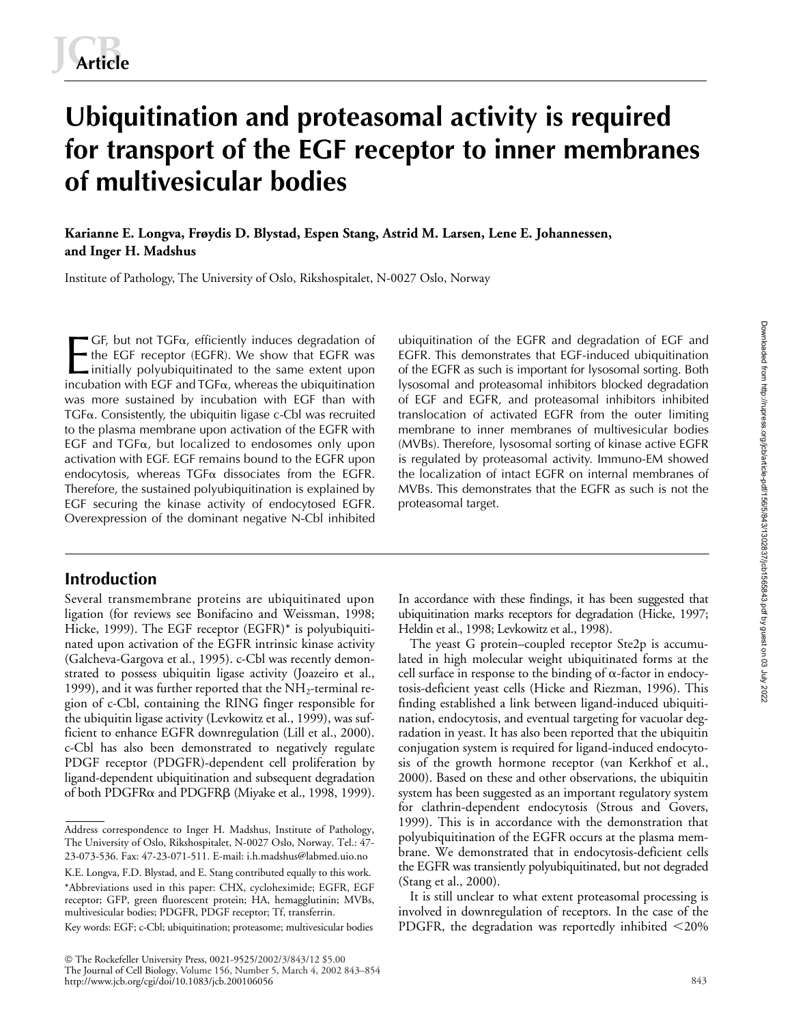# **Ubiquitination and proteasomal activity is required for transport of the EGF receptor to inner membranes of multivesicular bodies**

**Karianne E. Longva, Frøydis D. Blystad, Espen Stang, Astrid M. Larsen, Lene E. Johannessen, and Inger H. Madshus**

Institute of Pathology, The University of Oslo, Rikshospitalet, N-0027 Oslo, Norway

 $GF$ , but not  $TGF\alpha$ , efficiently induces degradation of the EGF receptor (EGFR). We show that EGFR was initially polyubiquitinated to the same extent upon incubation with EGF and TGF $\alpha$ , whereas the ubiquitination was more sustained by incubation with EGF than with TGFα. Consistently, the ubiquitin ligase c-Cbl was recruited to the plasma membrane upon activation of the EGFR with  $EGF$  and  $TGF_{\alpha}$ , but localized to endosomes only upon activation with EGF. EGF remains bound to the EGFR upon endocytosis, whereas TGF $\alpha$  dissociates from the EGFR. Therefore, the sustained polyubiquitination is explained by EGF securing the kinase activity of endocytosed EGFR. Overexpression of the dominant negative N-Cbl inhibited  $\blacksquare$  GF, but not TGF $\alpha$ , efficiently induces degradation of ubiquitination of the EGFR and degradation of EGF and<br>the EGF receptor (EGFR). We show that EGFR was EGFR. This demonstrates that EGF-induced ubiquitination<br>i

# **Introduction**

Several transmembrane proteins are ubiquitinated upon ligation (for reviews see Bonifacino and Weissman, 1998; Hicke, 1999). The EGF receptor (EGFR)\* is polyubiquitinated upon activation of the EGFR intrinsic kinase activity (Galcheva-Gargova et al., 1995). c-Cbl was recently demonstrated to possess ubiquitin ligase activity (Joazeiro et al., 1999), and it was further reported that the  $NH_2$ -terminal region of c-Cbl, containing the RING finger responsible for the ubiquitin ligase activity (Levkowitz et al., 1999), was sufficient to enhance EGFR downregulation (Lill et al., 2000). c-Cbl has also been demonstrated to negatively regulate PDGF receptor (PDGFR)-dependent cell proliferation by ligand-dependent ubiquitination and subsequent degradation of both PDGFRα and PDGFRβ (Miyake et al., 1998, 1999).

Key words: EGF; c-Cbl; ubiquitination; proteasome; multivesicular bodies

 The Rockefeller University Press, 0021-9525/2002/3/843/12 \$5.00 The Journal of Cell Biology, Volume 156, Number 5, March 4, 2002 843–854 http://www.jcb.org/cgi/doi/10.1083/jcb.200106056

EGFR. This demonstrates that EGF-induced ubiquitination of the EGFR as such is important for lysosomal sorting. Both lysosomal and proteasomal inhibitors blocked degradation of EGF and EGFR, and proteasomal inhibitors inhibited translocation of activated EGFR from the outer limiting membrane to inner membranes of multivesicular bodies (MVBs). Therefore, lysosomal sorting of kinase active EGFR is regulated by proteasomal activity. Immuno-EM showed the localization of intact EGFR on internal membranes of MVBs. This demonstrates that the EGFR as such is not the proteasomal target.

In accordance with these findings, it has been suggested that ubiquitination marks receptors for degradation (Hicke, 1997; Heldin et al., 1998; Levkowitz et al., 1998).

The yeast G protein–coupled receptor Ste2p is accumulated in high molecular weight ubiquitinated forms at the cell surface in response to the binding of  $\alpha$ -factor in endocytosis-deficient yeast cells (Hicke and Riezman, 1996). This finding established a link between ligand-induced ubiquitination, endocytosis, and eventual targeting for vacuolar degradation in yeast. It has also been reported that the ubiquitin conjugation system is required for ligand-induced endocytosis of the growth hormone receptor (van Kerkhof et al., 2000). Based on these and other observations, the ubiquitin system has been suggested as an important regulatory system for clathrin-dependent endocytosis (Strous and Govers, 1999). This is in accordance with the demonstration that polyubiquitination of the EGFR occurs at the plasma membrane. We demonstrated that in endocytosis-deficient cells the EGFR was transiently polyubiquitinated, but not degraded (Stang et al., 2000).

It is still unclear to what extent proteasomal processing is involved in downregulation of receptors. In the case of the PDGFR, the degradation was reportedly inhibited  $\leq$ 20%

Address correspondence to Inger H. Madshus, Institute of Pathology, The University of Oslo, Rikshospitalet, N-0027 Oslo, Norway. Tel.: 47- 23-073-536. Fax: 47-23-071-511. E-mail: i.h.madshus@labmed.uio.no

K.E. Longva, F.D. Blystad, and E. Stang contributed equally to this work. \*Abbreviations used in this paper: CHX, cycloheximide; EGFR, EGF receptor; GFP, green fluorescent protein; HA, hemagglutinin; MVBs, multivesicular bodies; PDGFR, PDGF receptor; Tf, transferrin.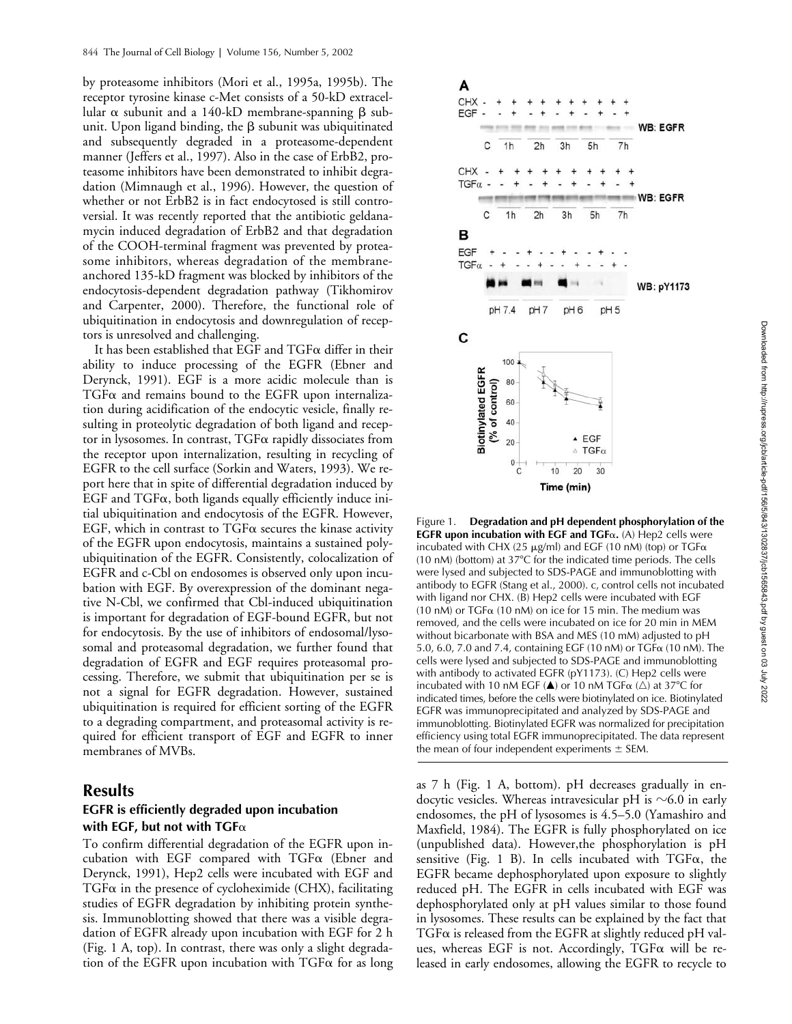by proteasome inhibitors (Mori et al., 1995a, 1995b). The receptor tyrosine kinase c-Met consists of a 50-kD extracellular  $\alpha$  subunit and a 140-kD membrane-spanning  $\beta$  subunit. Upon ligand binding, the  $\beta$  subunit was ubiquitinated and subsequently degraded in a proteasome-dependent manner (Jeffers et al., 1997). Also in the case of ErbB2, proteasome inhibitors have been demonstrated to inhibit degradation (Mimnaugh et al., 1996). However, the question of whether or not ErbB2 is in fact endocytosed is still controversial. It was recently reported that the antibiotic geldanamycin induced degradation of ErbB2 and that degradation of the COOH-terminal fragment was prevented by proteasome inhibitors, whereas degradation of the membraneanchored 135-kD fragment was blocked by inhibitors of the endocytosis-dependent degradation pathway (Tikhomirov and Carpenter, 2000). Therefore, the functional role of ubiquitination in endocytosis and downregulation of receptors is unresolved and challenging.

It has been established that EGF and  $T$ GF $\alpha$  differ in their ability to induce processing of the EGFR (Ebner and Derynck, 1991). EGF is a more acidic molecule than is  $TGF\alpha$  and remains bound to the EGFR upon internalization during acidification of the endocytic vesicle, finally resulting in proteolytic degradation of both ligand and receptor in lysosomes. In contrast, TGF& rapidly dissociates from the receptor upon internalization, resulting in recycling of EGFR to the cell surface (Sorkin and Waters, 1993). We report here that in spite of differential degradation induced by  $EGF$  and  $TGF\alpha$ , both ligands equally efficiently induce initial ubiquitination and endocytosis of the EGFR. However, EGF, which in contrast to  $TGF\alpha$  secures the kinase activity of the EGFR upon endocytosis, maintains a sustained polyubiquitination of the EGFR. Consistently, colocalization of EGFR and c-Cbl on endosomes is observed only upon incubation with EGF. By overexpression of the dominant negative N-Cbl, we confirmed that Cbl-induced ubiquitination is important for degradation of EGF-bound EGFR, but not for endocytosis. By the use of inhibitors of endosomal/lysosomal and proteasomal degradation, we further found that degradation of EGFR and EGF requires proteasomal processing. Therefore, we submit that ubiquitination per se is not a signal for EGFR degradation. However, sustained ubiquitination is required for efficient sorting of the EGFR to a degrading compartment, and proteasomal activity is required for efficient transport of EGF and EGFR to inner membranes of MVBs.

# **Results**

# **EGFR is efficiently degraded upon incubation**  with EGF, but not with TGF $\alpha$

To confirm differential degradation of the EGFR upon incubation with EGF compared with  $TGF\alpha$  (Ebner and Derynck, 1991), Hep2 cells were incubated with EGF and  $TGF\alpha$  in the presence of cycloheximide (CHX), facilitating studies of EGFR degradation by inhibiting protein synthesis. Immunoblotting showed that there was a visible degradation of EGFR already upon incubation with EGF for 2 h (Fig. 1 A, top). In contrast, there was only a slight degradation of the EGFR upon incubation with  $TGF\alpha$  for as long



Figure 1. **Degradation and pH dependent phosphorylation of the EGFR upon incubation with EGF and TGFα.** (A) Hep2 cells were incubated with CHX (25  $\mu$ g/ml) and EGF (10 nM) (top) or TGF $\alpha$  $(10 \text{ nM})$  (bottom) at  $37^{\circ}$ C for the indicated time periods. The cells were lysed and subjected to SDS-PAGE and immunoblotting with antibody to EGFR (Stang et al., 2000). c, control cells not incubated with ligand nor CHX. (B) Hep2 cells were incubated with EGF  $(10 \text{ nM})$  or TGF $\alpha$   $(10 \text{ nM})$  on ice for 15 min. The medium was removed, and the cells were incubated on ice for 20 min in MEM without bicarbonate with BSA and MES (10 mM) adjusted to pH 5.0, 6.0, 7.0 and 7.4, containing EGF (10 nM) or  $T$ GF $\alpha$  (10 nM). The cells were lysed and subjected to SDS-PAGE and immunoblotting with antibody to activated EGFR (pY1173). (C) Hep2 cells were incubated with 10 nM EGF ( $\triangle$ ) or 10 nM TGF $\alpha$  ( $\triangle$ ) at 37°C for indicated times, before the cells were biotinylated on ice. Biotinylated EGFR was immunoprecipitated and analyzed by SDS-PAGE and immunoblotting. Biotinylated EGFR was normalized for precipitation efficiency using total EGFR immunoprecipitated. The data represent the mean of four independent experiments  $\pm$  SEM.

as 7 h (Fig. 1 A, bottom). pH decreases gradually in endocytic vesicles. Whereas intravesicular pH is  ${\sim}6.0$  in early endosomes, the pH of lysosomes is 4.5–5.0 (Yamashiro and Maxfield, 1984). The EGFR is fully phosphorylated on ice (unpublished data). However,the phosphorylation is pH sensitive (Fig. 1 B). In cells incubated with  $TGF\alpha$ , the EGFR became dephosphorylated upon exposure to slightly reduced pH. The EGFR in cells incubated with EGF was dephosphorylated only at pH values similar to those found in lysosomes. These results can be explained by the fact that  $T$ GF $\alpha$  is released from the EGFR at slightly reduced pH values, whereas EGF is not. Accordingly, TGF $\alpha$  will be released in early endosomes, allowing the EGFR to recycle to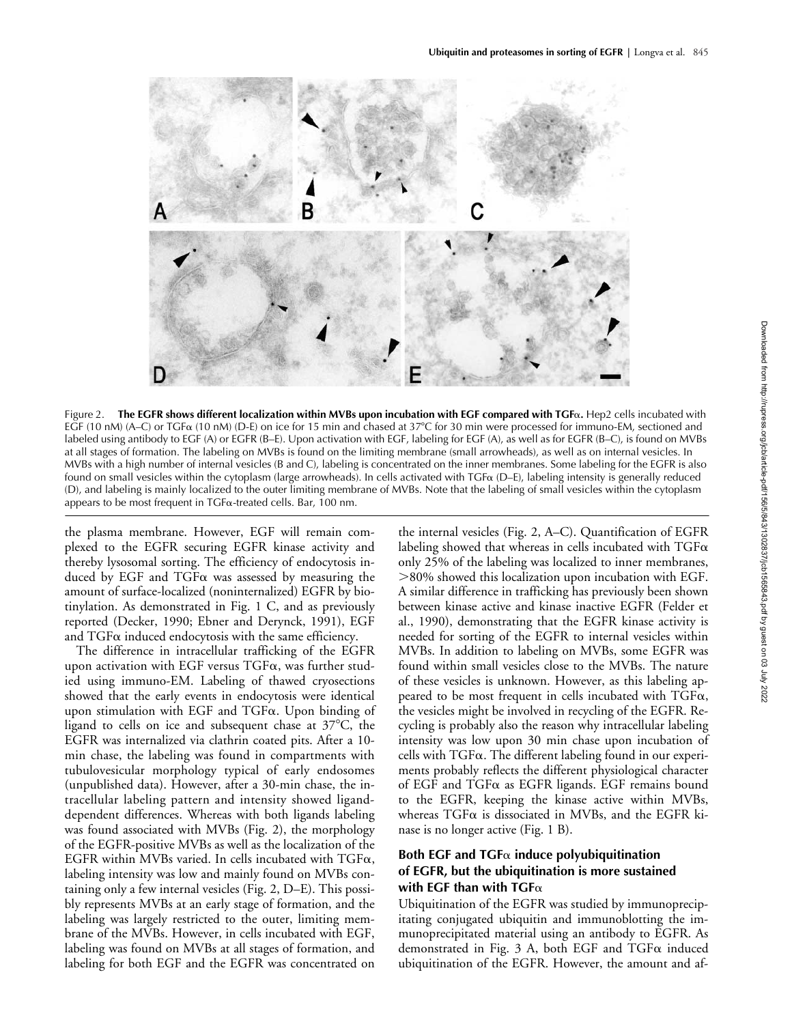

Figure 2. **The EGFR shows different localization within MVBs upon incubation with EGF compared with TGF**-**.** Hep2 cells incubated with EGF (10 nM) (A–C) or TGF $\alpha$  (10 nM) (D-E) on ice for 15 min and chased at 37°C for 30 min were processed for immuno-EM, sectioned and labeled using antibody to EGF (A) or EGFR (B–E). Upon activation with EGF, labeling for EGF (A), as well as for EGFR (B–C), is found on MVBs at all stages of formation. The labeling on MVBs is found on the limiting membrane (small arrowheads), as well as on internal vesicles. In MVBs with a high number of internal vesicles (B and C), labeling is concentrated on the inner membranes. Some labeling for the EGFR is also found on small vesicles within the cytoplasm (large arrowheads). In cells activated with TGF& (D–E), labeling intensity is generally reduced (D), and labeling is mainly localized to the outer limiting membrane of MVBs. Note that the labeling of small vesicles within the cytoplasm appears to be most frequent in TGF&-treated cells. Bar, 100 nm.

the plasma membrane. However, EGF will remain complexed to the EGFR securing EGFR kinase activity and thereby lysosomal sorting. The efficiency of endocytosis induced by EGF and  $TGF\alpha$  was assessed by measuring the amount of surface-localized (noninternalized) EGFR by biotinylation. As demonstrated in Fig. 1 C, and as previously reported (Decker, 1990; Ebner and Derynck, 1991), EGF and  $T$ GF $\alpha$  induced endocytosis with the same efficiency.

The difference in intracellular trafficking of the EGFR upon activation with EGF versus  $T$ GF $\alpha$ , was further studied using immuno-EM. Labeling of thawed cryosections showed that the early events in endocytosis were identical upon stimulation with EGF and  $T$ GF $\alpha$ . Upon binding of ligand to cells on ice and subsequent chase at  $37^{\circ}$ C, the EGFR was internalized via clathrin coated pits. After a 10 min chase, the labeling was found in compartments with tubulovesicular morphology typical of early endosomes (unpublished data). However, after a 30-min chase, the intracellular labeling pattern and intensity showed liganddependent differences. Whereas with both ligands labeling was found associated with MVBs (Fig. 2), the morphology of the EGFR-positive MVBs as well as the localization of the EGFR within MVBs varied. In cells incubated with  $T$ GF $\alpha,$ labeling intensity was low and mainly found on MVBs containing only a few internal vesicles (Fig. 2, D–E). This possibly represents MVBs at an early stage of formation, and the labeling was largely restricted to the outer, limiting membrane of the MVBs. However, in cells incubated with EGF, labeling was found on MVBs at all stages of formation, and labeling for both EGF and the EGFR was concentrated on

the internal vesicles (Fig. 2, A–C). Quantification of EGFR labeling showed that whereas in cells incubated with  $TGF\alpha$ only 25% of the labeling was localized to inner membranes, 80% showed this localization upon incubation with EGF. A similar difference in trafficking has previously been shown between kinase active and kinase inactive EGFR (Felder et al., 1990), demonstrating that the EGFR kinase activity is needed for sorting of the EGFR to internal vesicles within MVBs. In addition to labeling on MVBs, some EGFR was found within small vesicles close to the MVBs. The nature of these vesicles is unknown. However, as this labeling appeared to be most frequent in cells incubated with  $TGF\alpha,$ the vesicles might be involved in recycling of the EGFR. Recycling is probably also the reason why intracellular labeling intensity was low upon 30 min chase upon incubation of  $\operatorname{cells}$  with  $\operatorname{TGF}\alpha.$  The different labeling found in our experiments probably reflects the different physiological character of EGF and TGF $\alpha$  as EGFR ligands. EGF remains bound to the EGFR, keeping the kinase active within MVBs, whereas  $TGF\alpha$  is dissociated in MVBs, and the EGFR kinase is no longer active (Fig. 1 B).

# **Both EGF and TGF**- **induce polyubiquitination of EGFR, but the ubiquitination is more sustained**  with EGF than with TGF $\alpha$

Ubiquitination of the EGFR was studied by immunoprecipitating conjugated ubiquitin and immunoblotting the immunoprecipitated material using an antibody to EGFR. As demonstrated in Fig. 3 A, both EGF and  $TGF\alpha$  induced ubiquitination of the EGFR. However, the amount and af-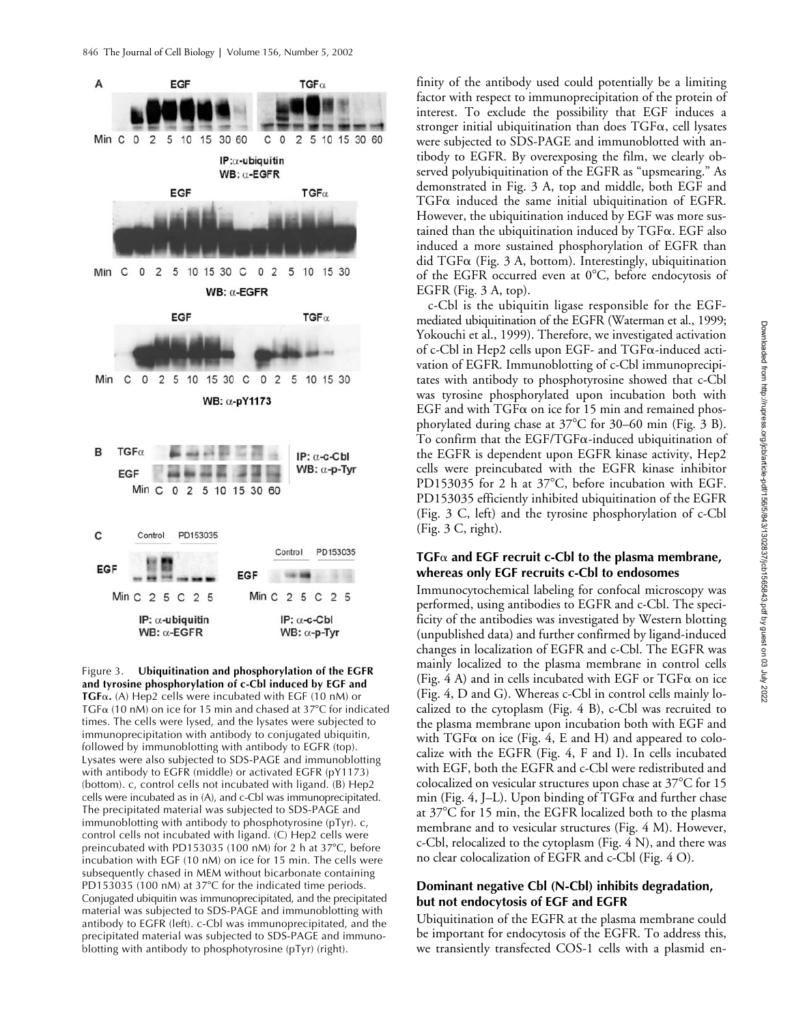

Figure 3. **Ubiquitination and phosphorylation of the EGFR and tyrosine phosphorylation of c-Cbl induced by EGF and TGF**α. (A) Hep2 cells were incubated with EGF (10 nM) or  $TGF_{\alpha}$  (10 nM) on ice for 15 min and chased at 37°C for indicated times. The cells were lysed, and the lysates were subjected to immunoprecipitation with antibody to conjugated ubiquitin, followed by immunoblotting with antibody to EGFR (top). Lysates were also subjected to SDS-PAGE and immunoblotting with antibody to EGFR (middle) or activated EGFR (pY1173) (bottom). c, control cells not incubated with ligand. (B) Hep2 cells were incubated as in (A), and c-Cbl was immunoprecipitated. The precipitated material was subjected to SDS-PAGE and immunoblotting with antibody to phosphotyrosine (pTyr). c, control cells not incubated with ligand. (C) Hep2 cells were preincubated with PD153035 (100 nM) for 2 h at 37°C, before incubation with EGF (10 nM) on ice for 15 min. The cells were subsequently chased in MEM without bicarbonate containing PD153035 (100 nM) at 37°C for the indicated time periods. Conjugated ubiquitin was immunoprecipitated, and the precipitated material was subjected to SDS-PAGE and immunoblotting with antibody to EGFR (left). c-Cbl was immunoprecipitated, and the precipitated material was subjected to SDS-PAGE and immunoblotting with antibody to phosphotyrosine (pTyr) (right).

finity of the antibody used could potentially be a limiting factor with respect to immunoprecipitation of the protein of interest. To exclude the possibility that EGF induces a stronger initial ubiquitination than does  $\text{TGF}\alpha$ , cell lysates were subjected to SDS-PAGE and immunoblotted with antibody to EGFR. By overexposing the film, we clearly observed polyubiquitination of the EGFR as "upsmearing." As demonstrated in Fig. 3 A, top and middle, both EGF and  $TGF\alpha$  induced the same initial ubiquitination of EGFR. However, the ubiquitination induced by EGF was more sustained than the ubiquitination induced by TGFa. EGF also induced a more sustained phosphorylation of EGFR than did TGF $\alpha$  (Fig. 3 A, bottom). Interestingly, ubiquitination of the EGFR occurred even at  $0^{\circ}C$ , before endocytosis of EGFR (Fig. 3 A, top).

c-Cbl is the ubiquitin ligase responsible for the EGFmediated ubiquitination of the EGFR (Waterman et al., 1999; Yokouchi et al., 1999). Therefore, we investigated activation of c-Cbl in Hep2 cells upon EGF- and  $T$ GF $\alpha$ -induced activation of EGFR. Immunoblotting of c-Cbl immunoprecipitates with antibody to phosphotyrosine showed that c-Cbl was tyrosine phosphorylated upon incubation both with EGF and with  $TGF\alpha$  on ice for 15 min and remained phosphorylated during chase at  $37^{\circ}$ C for 30–60 min (Fig. 3 B). To confirm that the  $EGF/TGF\alpha$ -induced ubiquitination of the EGFR is dependent upon EGFR kinase activity, Hep2 cells were preincubated with the EGFR kinase inhibitor PD153035 for 2 h at 37°C, before incubation with EGF. PD153035 efficiently inhibited ubiquitination of the EGFR (Fig. 3 C, left) and the tyrosine phosphorylation of c-Cbl (Fig. 3 C, right).

# **TGF**- **and EGF recruit c-Cbl to the plasma membrane, whereas only EGF recruits c-Cbl to endosomes**

Immunocytochemical labeling for confocal microscopy was performed, using antibodies to EGFR and c-Cbl. The specificity of the antibodies was investigated by Western blotting (unpublished data) and further confirmed by ligand-induced changes in localization of EGFR and c-Cbl. The EGFR was mainly localized to the plasma membrane in control cells (Fig. 4 A) and in cells incubated with EGF or TGF $\alpha$  on ice (Fig. 4, D and G). Whereas c-Cbl in control cells mainly localized to the cytoplasm (Fig. 4 B), c-Cbl was recruited to the plasma membrane upon incubation both with EGF and with  $TGF\alpha$  on ice (Fig. 4, E and H) and appeared to colocalize with the EGFR (Fig. 4, F and I). In cells incubated with EGF, both the EGFR and c-Cbl were redistributed and colocalized on vesicular structures upon chase at  $37^{\circ}$ C for 15 min (Fig. 4, J–L). Upon binding of  $TGF\alpha$  and further chase at 37°C for 15 min, the EGFR localized both to the plasma membrane and to vesicular structures (Fig. 4 M). However, c-Cbl, relocalized to the cytoplasm (Fig. 4 N), and there was no clear colocalization of EGFR and c-Cbl (Fig. 4 O).

## **Dominant negative Cbl (N-Cbl) inhibits degradation, but not endocytosis of EGF and EGFR**

Ubiquitination of the EGFR at the plasma membrane could be important for endocytosis of the EGFR. To address this, we transiently transfected COS-1 cells with a plasmid en-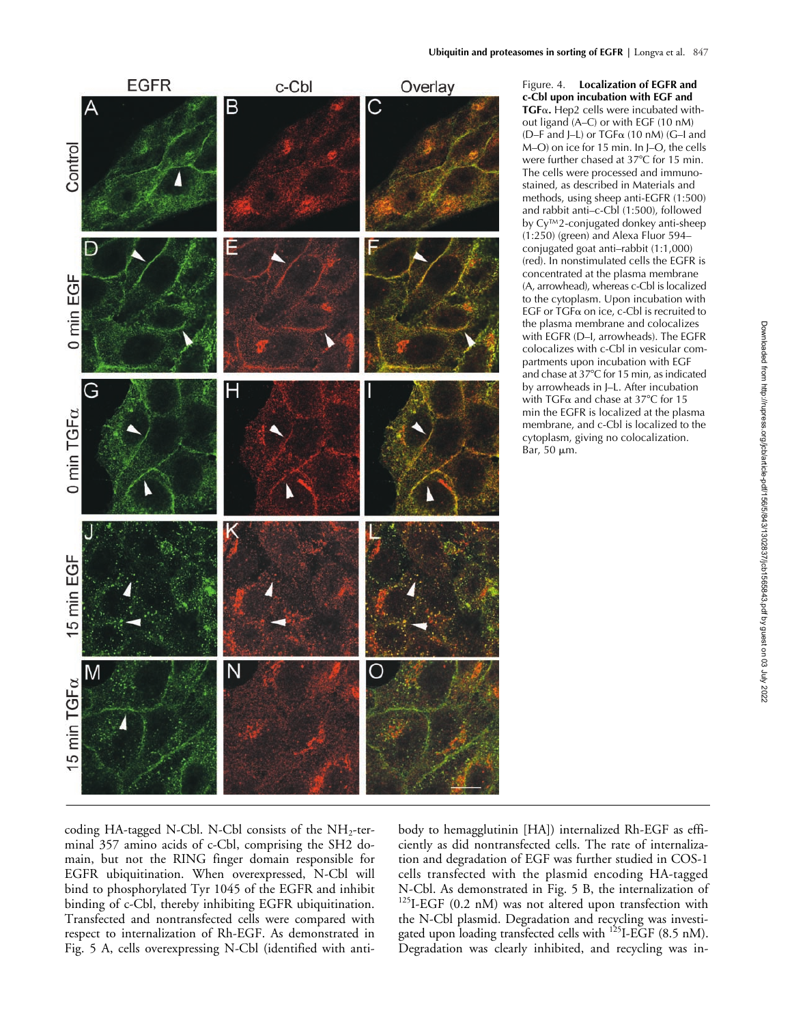

Figure. 4. **Localization of EGFR and c-Cbl upon incubation with EGF and TGF**α. Hep2 cells were incubated without ligand (A–C) or with EGF (10 nM) (D–F and J–L) or  $TGF_{\alpha}$  (10 nM) (G–I and M–O) on ice for 15 min. In J–O, the cells were further chased at 37°C for 15 min. The cells were processed and immunostained, as described in Materials and methods, using sheep anti-EGFR (1:500) and rabbit anti–c-Cbl (1:500), followed by Cy™2-conjugated donkey anti-sheep (1:250) (green) and Alexa Fluor 594– conjugated goat anti–rabbit (1:1,000) (red). In nonstimulated cells the EGFR is concentrated at the plasma membrane (A, arrowhead), whereas c-Cbl is localized to the cytoplasm. Upon incubation with  $EGF$  or  $TGF\alpha$  on ice, c-Cbl is recruited to the plasma membrane and colocalizes with EGFR (D–I, arrowheads). The EGFR colocalizes with c-Cbl in vesicular compartments upon incubation with EGF and chase at 37°C for 15 min, as indicated by arrowheads in J–L. After incubation with TGF $\alpha$  and chase at 37°C for 15 min the EGFR is localized at the plasma membrane, and c-Cbl is localized to the cytoplasm, giving no colocalization. Bar, 50 μm.

coding HA-tagged N-Cbl. N-Cbl consists of the  $NH<sub>2</sub>$ -terminal 357 amino acids of c-Cbl, comprising the SH2 domain, but not the RING finger domain responsible for EGFR ubiquitination. When overexpressed, N-Cbl will bind to phosphorylated Tyr 1045 of the EGFR and inhibit binding of c-Cbl, thereby inhibiting EGFR ubiquitination. Transfected and nontransfected cells were compared with respect to internalization of Rh-EGF. As demonstrated in Fig. 5 A, cells overexpressing N-Cbl (identified with antibody to hemagglutinin [HA]) internalized Rh-EGF as efficiently as did nontransfected cells. The rate of internalization and degradation of EGF was further studied in COS-1 cells transfected with the plasmid encoding HA-tagged N-Cbl. As demonstrated in Fig. 5 B, the internalization of <sup>125</sup>I-EGF (0.2 nM) was not altered upon transfection with the N-Cbl plasmid. Degradation and recycling was investigated upon loading transfected cells with  $^{125}$ I-EGF (8.5 nM). Degradation was clearly inhibited, and recycling was in-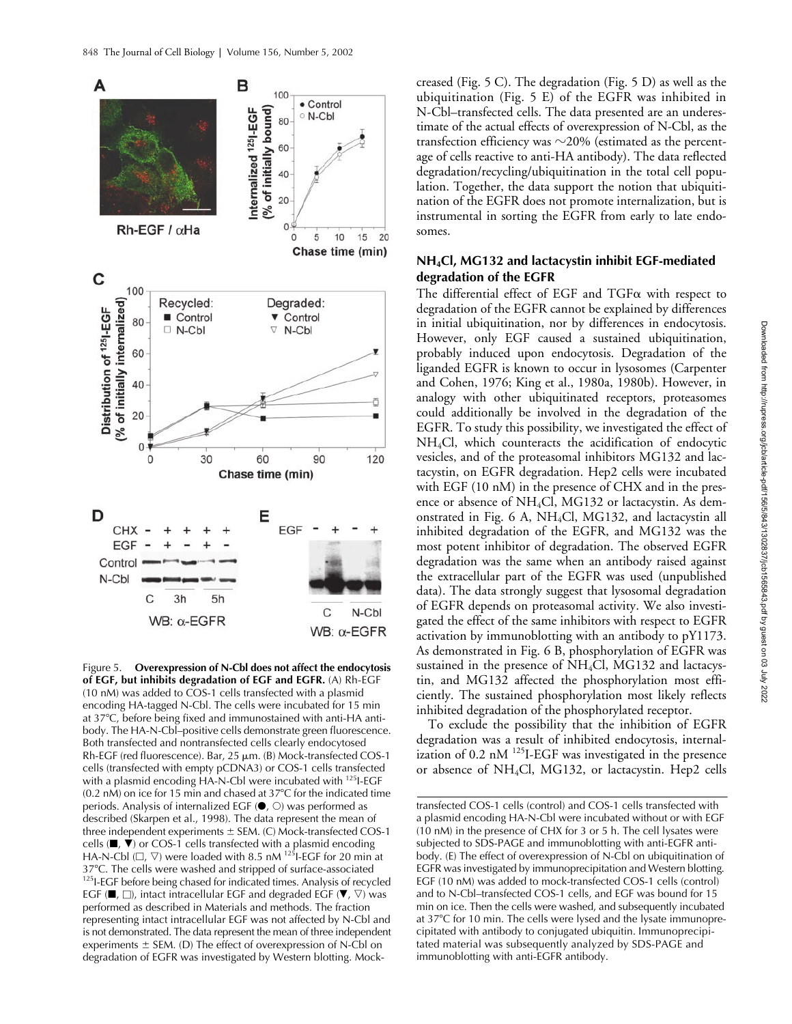

Figure 5. **Overexpression of N-Cbl does not affect the endocytosis of EGF, but inhibits degradation of EGF and EGFR.** (A) Rh-EGF (10 nM) was added to COS-1 cells transfected with a plasmid encoding HA-tagged N-Cbl. The cells were incubated for 15 min at 37°C, before being fixed and immunostained with anti-HA antibody. The HA-N-Cbl–positive cells demonstrate green fluorescence. Both transfected and nontransfected cells clearly endocytosed Rh-EGF (red fluorescence). Bar,  $25 \mu m$ . (B) Mock-transfected COS-1 cells (transfected with empty pCDNA3) or COS-1 cells transfected with a plasmid encoding HA-N-Cbl were incubated with <sup>125</sup>I-EGF  $(0.2 \text{ nM})$  on ice for 15 min and chased at 37 $\textdegree$ C for the indicated time periods. Analysis of internalized EGF  $(\bullet, \circlearrowright)$  was performed as described (Skarpen et al., 1998). The data represent the mean of three independent experiments  $\pm$  SEM. (C) Mock-transfected COS-1 cells ( $\blacksquare$ ,  $\nabla$ ) or COS-1 cells transfected with a plasmid encoding HA-N-Cbl ( $\Box$ ,  $\nabla$ ) were loaded with 8.5 nM <sup>125</sup>I-EGF for 20 min at 37°C. The cells were washed and stripped of surface-associated<br><sup>125</sup>I-EGF before being chased for indicated times. Analysis of recycled EGF ( $\blacksquare$ ,  $\Box$ ), intact intracellular EGF and degraded EGF ( $\blacktriangledown$ ,  $\triangledown$ ) was performed as described in Materials and methods. The fraction representing intact intracellular EGF was not affected by N-Cbl and is not demonstrated. The data represent the mean of three independent experiments  $\pm$  SEM. (D) The effect of overexpression of N-Cbl on degradation of EGFR was investigated by Western blotting. Mock-

creased (Fig. 5 C). The degradation (Fig. 5 D) as well as the ubiquitination (Fig. 5 E) of the EGFR was inhibited in N-Cbl–transfected cells. The data presented are an underestimate of the actual effects of overexpression of N-Cbl, as the transfection efficiency was  $\sim$ 20% (estimated as the percentage of cells reactive to anti-HA antibody). The data reflected degradation/recycling/ubiquitination in the total cell population. Together, the data support the notion that ubiquitination of the EGFR does not promote internalization, but is instrumental in sorting the EGFR from early to late endosomes.

## **NH4Cl, MG132 and lactacystin inhibit EGF-mediated degradation of the EGFR**

The differential effect of EGF and  $T$ GF $\alpha$  with respect to degradation of the EGFR cannot be explained by differences in initial ubiquitination, nor by differences in endocytosis. However, only EGF caused a sustained ubiquitination, probably induced upon endocytosis. Degradation of the liganded EGFR is known to occur in lysosomes (Carpenter and Cohen, 1976; King et al., 1980a, 1980b). However, in analogy with other ubiquitinated receptors, proteasomes could additionally be involved in the degradation of the EGFR. To study this possibility, we investigated the effect of NH4Cl, which counteracts the acidification of endocytic vesicles, and of the proteasomal inhibitors MG132 and lactacystin, on EGFR degradation. Hep2 cells were incubated with EGF (10 nM) in the presence of CHX and in the presence or absence of NH4Cl, MG132 or lactacystin. As demonstrated in Fig. 6 A, NH4Cl, MG132, and lactacystin all inhibited degradation of the EGFR, and MG132 was the most potent inhibitor of degradation. The observed EGFR degradation was the same when an antibody raised against the extracellular part of the EGFR was used (unpublished data). The data strongly suggest that lysosomal degradation of EGFR depends on proteasomal activity. We also investigated the effect of the same inhibitors with respect to EGFR activation by immunoblotting with an antibody to pY1173. As demonstrated in Fig. 6 B, phosphorylation of EGFR was sustained in the presence of  $NH<sub>4</sub>Cl$ , MG132 and lactacystin, and MG132 affected the phosphorylation most efficiently. The sustained phosphorylation most likely reflects inhibited degradation of the phosphorylated receptor.

To exclude the possibility that the inhibition of EGFR degradation was a result of inhibited endocytosis, internalization of 0.2 nM <sup>125</sup>I-EGF was investigated in the presence or absence of NH4Cl, MG132, or lactacystin. Hep2 cells

transfected COS-1 cells (control) and COS-1 cells transfected with a plasmid encoding HA-N-Cbl were incubated without or with EGF (10 nM) in the presence of CHX for 3 or 5 h. The cell lysates were subjected to SDS-PAGE and immunoblotting with anti-EGFR antibody. (E) The effect of overexpression of N-Cbl on ubiquitination of EGFR was investigated by immunoprecipitation and Western blotting. EGF (10 nM) was added to mock-transfected COS-1 cells (control) and to N-Cbl–transfected COS-1 cells, and EGF was bound for 15 min on ice. Then the cells were washed, and subsequently incubated at 37°C for 10 min. The cells were lysed and the lysate immunoprecipitated with antibody to conjugated ubiquitin. Immunoprecipitated material was subsequently analyzed by SDS-PAGE and immunoblotting with anti-EGFR antibody.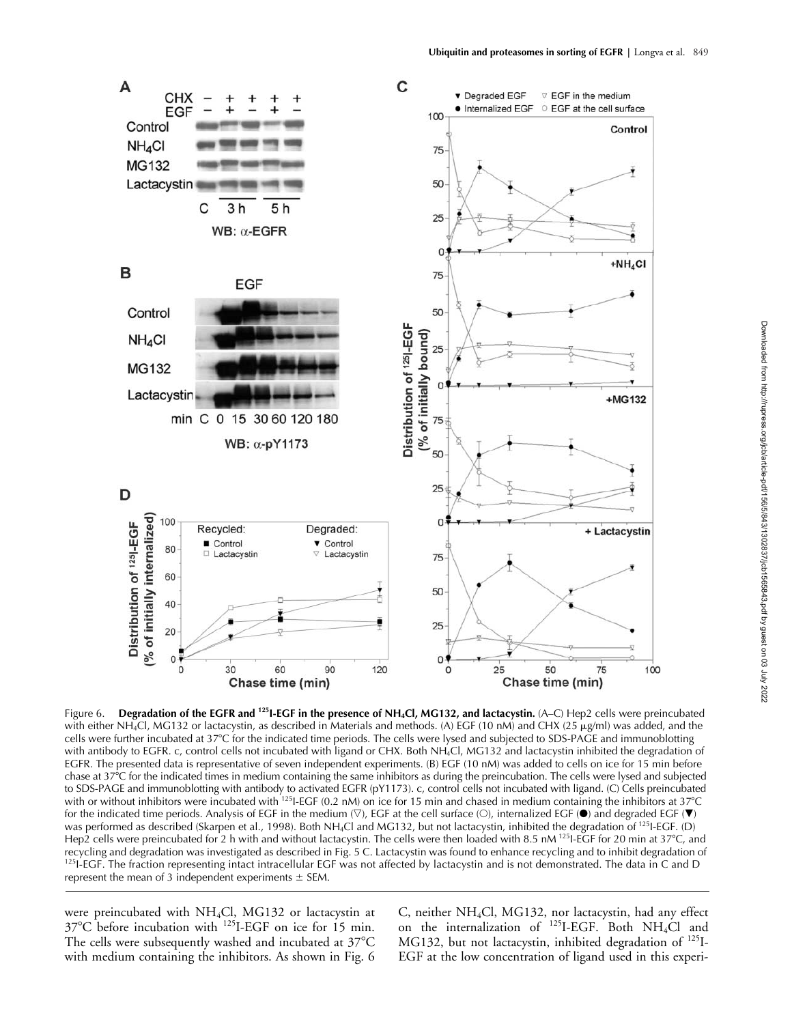

Figure 6. **Degradation of the EGFR and <sup>125</sup>I-EGF in the presence of NH<sub>4</sub>Cl, MG132, and lactacystin. (A–C) Hep2 cells were preincubated** with either NH<sub>4</sub>Cl, MG132 or lactacystin, as described in Materials and methods. (A) EGF (10 nM) and CHX (25 µg/ml) was added, and the cells were further incubated at 37C for the indicated time periods. The cells were lysed and subjected to SDS-PAGE and immunoblotting with antibody to EGFR. c, control cells not incubated with ligand or CHX. Both NH<sub>4</sub>Cl, MG132 and lactacystin inhibited the degradation of EGFR. The presented data is representative of seven independent experiments. (B) EGF (10 nM) was added to cells on ice for 15 min before chase at 37°C for the indicated times in medium containing the same inhibitors as during the preincubation. The cells were lysed and subjected to SDS-PAGE and immunoblotting with antibody to activated EGFR (pY1173). c, control cells not incubated with ligand. (C) Cells preincubated with or without inhibitors were incubated with <sup>125</sup>I-EGF (0.2 nM) on ice for 15 min and chased in medium containing the inhibitors at 37°C for the indicated time periods. Analysis of EGF in the medium  $(\nabla)$ , EGF at the cell surface  $(\bigcirc)$ , internalized EGF  $(\bullet)$  and degraded EGF  $(\bullet)$ was performed as described (Skarpen et al., 1998). Both NH<sub>4</sub>Cl and MG132, but not lactacystin, inhibited the degradation of <sup>125</sup>I-EGF. (D) Hep2 cells were preincubated for 2 h with and without lactacystin. The cells were then loaded with 8.5 nM <sup>125</sup>I-EGF for 20 min at 37°C, and recycling and degradation was investigated as described in Fig. 5 C. Lactacystin <sup>125</sup>I-EGF. The fraction representing intact intracellular EGF was not affected by lactacystin and is not demonstrated. The data in C and D represent the mean of 3 independent experiments  $\pm$  SEM.

were preincubated with NH4Cl, MG132 or lactacystin at 37C before incubation with 125I-EGF on ice for 15 min. The cells were subsequently washed and incubated at 37°C with medium containing the inhibitors. As shown in Fig. 6 C, neither NH4Cl, MG132, nor lactacystin, had any effect on the internalization of  $^{125}$ I-EGF. Both NH<sub>4</sub>Cl and MG132, but not lactacystin, inhibited degradation of <sup>125</sup>I-EGF at the low concentration of ligand used in this experi-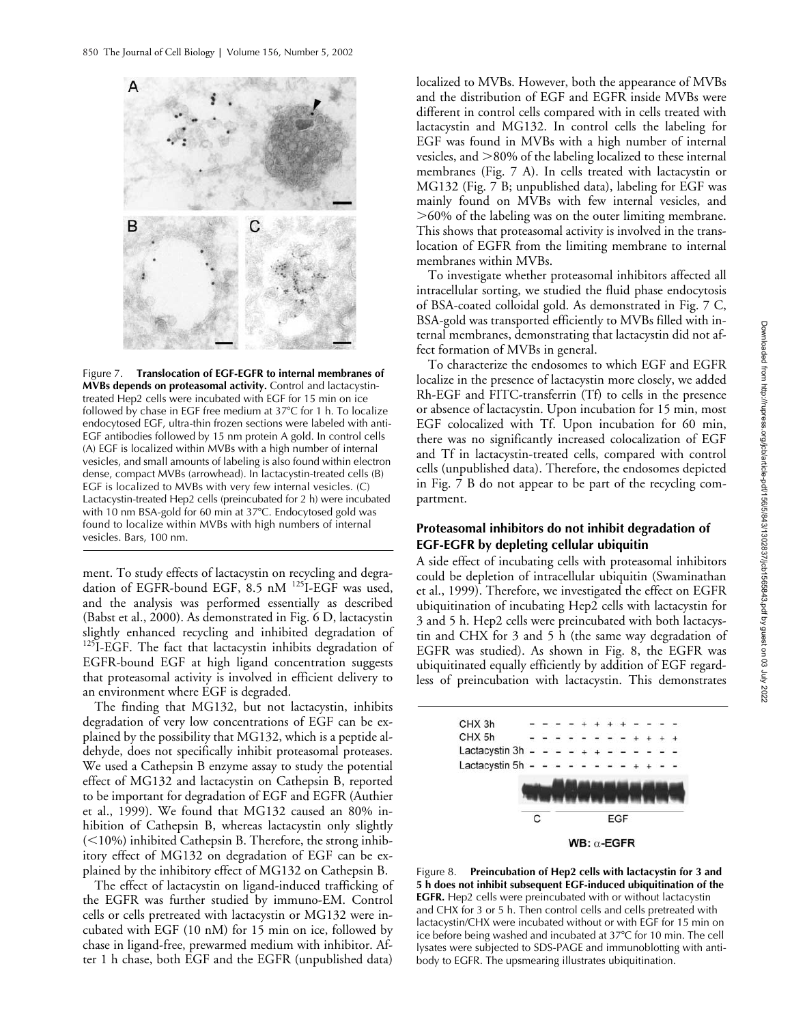

Figure 7. **Translocation of EGF-EGFR to internal membranes of MVBs depends on proteasomal activity.** Control and lactacystintreated Hep2 cells were incubated with EGF for 15 min on ice followed by chase in EGF free medium at  $37^{\circ}$ C for 1 h. To localize endocytosed EGF, ultra-thin frozen sections were labeled with anti-EGF antibodies followed by 15 nm protein A gold. In control cells (A) EGF is localized within MVBs with a high number of internal vesicles, and small amounts of labeling is also found within electron dense, compact MVBs (arrowhead). In lactacystin-treated cells (B) EGF is localized to MVBs with very few internal vesicles. (C) Lactacystin-treated Hep2 cells (preincubated for 2 h) were incubated with 10 nm BSA-gold for 60 min at 37°C. Endocytosed gold was found to localize within MVBs with high numbers of internal vesicles. Bars, 100 nm.

ment. To study effects of lactacystin on recycling and degradation of EGFR-bound EGF, 8.5 nM <sup>125</sup>I-EGF was used, and the analysis was performed essentially as described (Babst et al., 2000). As demonstrated in Fig. 6 D, lactacystin slightly enhanced recycling and inhibited degradation of <sup>125</sup>I-EGF. The fact that lactacystin inhibits degradation of EGFR-bound EGF at high ligand concentration suggests that proteasomal activity is involved in efficient delivery to an environment where EGF is degraded.

The finding that MG132, but not lactacystin, inhibits degradation of very low concentrations of EGF can be explained by the possibility that MG132, which is a peptide aldehyde, does not specifically inhibit proteasomal proteases. We used a Cathepsin B enzyme assay to study the potential effect of MG132 and lactacystin on Cathepsin B, reported to be important for degradation of EGF and EGFR (Authier et al., 1999). We found that MG132 caused an 80% inhibition of Cathepsin B, whereas lactacystin only slightly  $(<$ 10%) inhibited Cathepsin B. Therefore, the strong inhibitory effect of MG132 on degradation of EGF can be explained by the inhibitory effect of MG132 on Cathepsin B.

The effect of lactacystin on ligand-induced trafficking of the EGFR was further studied by immuno-EM. Control cells or cells pretreated with lactacystin or MG132 were incubated with EGF (10 nM) for 15 min on ice, followed by chase in ligand-free, prewarmed medium with inhibitor. After 1 h chase, both EGF and the EGFR (unpublished data)

localized to MVBs. However, both the appearance of MVBs and the distribution of EGF and EGFR inside MVBs were different in control cells compared with in cells treated with lactacystin and MG132. In control cells the labeling for EGF was found in MVBs with a high number of internal vesicles, and  $>80\%$  of the labeling localized to these internal membranes (Fig. 7 A). In cells treated with lactacystin or MG132 (Fig. 7 B; unpublished data), labeling for EGF was mainly found on MVBs with few internal vesicles, and 60% of the labeling was on the outer limiting membrane. This shows that proteasomal activity is involved in the translocation of EGFR from the limiting membrane to internal membranes within MVBs.

To investigate whether proteasomal inhibitors affected all intracellular sorting, we studied the fluid phase endocytosis of BSA-coated colloidal gold. As demonstrated in Fig. 7 C, BSA-gold was transported efficiently to MVBs filled with internal membranes, demonstrating that lactacystin did not affect formation of MVBs in general.

To characterize the endosomes to which EGF and EGFR localize in the presence of lactacystin more closely, we added Rh-EGF and FITC-transferrin (Tf) to cells in the presence or absence of lactacystin. Upon incubation for 15 min, most EGF colocalized with Tf. Upon incubation for 60 min, there was no significantly increased colocalization of EGF and Tf in lactacystin-treated cells, compared with control cells (unpublished data). Therefore, the endosomes depicted in Fig. 7 B do not appear to be part of the recycling compartment.

## **Proteasomal inhibitors do not inhibit degradation of EGF-EGFR by depleting cellular ubiquitin**

A side effect of incubating cells with proteasomal inhibitors could be depletion of intracellular ubiquitin (Swaminathan et al., 1999). Therefore, we investigated the effect on EGFR ubiquitination of incubating Hep2 cells with lactacystin for 3 and 5 h. Hep2 cells were preincubated with both lactacystin and CHX for 3 and 5 h (the same way degradation of EGFR was studied). As shown in Fig. 8, the EGFR was ubiquitinated equally efficiently by addition of EGF regardless of preincubation with lactacystin. This demonstrates



Figure 8. **Preincubation of Hep2 cells with lactacystin for 3 and 5 h does not inhibit subsequent EGF-induced ubiquitination of the EGFR.** Hep2 cells were preincubated with or without lactacystin and CHX for 3 or 5 h. Then control cells and cells pretreated with lactacystin/CHX were incubated without or with EGF for 15 min on ice before being washed and incubated at 37C for 10 min. The cell lysates were subjected to SDS-PAGE and immunoblotting with antibody to EGFR. The upsmearing illustrates ubiquitination.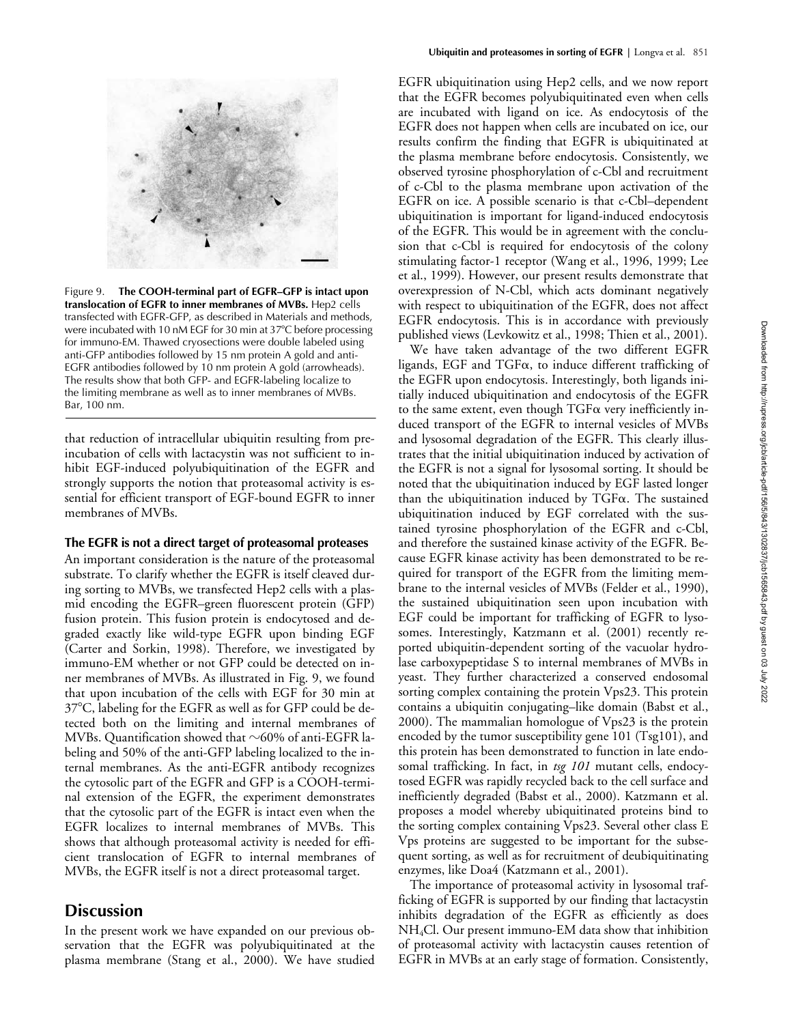

Figure 9. **The COOH-terminal part of EGFR–GFP is intact upon translocation of EGFR to inner membranes of MVBs***.* Hep2 cells transfected with EGFR-GFP, as described in Materials and methods, were incubated with 10 nM EGF for 30 min at 37°C before processing for immuno-EM. Thawed cryosections were double labeled using anti-GFP antibodies followed by 15 nm protein A gold and anti-EGFR antibodies followed by 10 nm protein A gold (arrowheads). The results show that both GFP- and EGFR-labeling localize to the limiting membrane as well as to inner membranes of MVBs. Bar, 100 nm.

that reduction of intracellular ubiquitin resulting from preincubation of cells with lactacystin was not sufficient to inhibit EGF-induced polyubiquitination of the EGFR and strongly supports the notion that proteasomal activity is essential for efficient transport of EGF-bound EGFR to inner membranes of MVBs.

## **The EGFR is not a direct target of proteasomal proteases**

An important consideration is the nature of the proteasomal substrate. To clarify whether the EGFR is itself cleaved during sorting to MVBs, we transfected Hep2 cells with a plasmid encoding the EGFR–green fluorescent protein (GFP) fusion protein. This fusion protein is endocytosed and degraded exactly like wild-type EGFR upon binding EGF (Carter and Sorkin, 1998). Therefore, we investigated by immuno-EM whether or not GFP could be detected on inner membranes of MVBs. As illustrated in Fig. 9, we found that upon incubation of the cells with EGF for 30 min at 37°C, labeling for the EGFR as well as for GFP could be detected both on the limiting and internal membranes of MVBs. Quantification showed that  $\sim$ 60% of anti-EGFR labeling and 50% of the anti-GFP labeling localized to the internal membranes. As the anti-EGFR antibody recognizes the cytosolic part of the EGFR and GFP is a COOH-terminal extension of the EGFR, the experiment demonstrates that the cytosolic part of the EGFR is intact even when the EGFR localizes to internal membranes of MVBs. This shows that although proteasomal activity is needed for efficient translocation of EGFR to internal membranes of MVBs, the EGFR itself is not a direct proteasomal target.

# **Discussion**

In the present work we have expanded on our previous observation that the EGFR was polyubiquitinated at the plasma membrane (Stang et al., 2000). We have studied EGFR ubiquitination using Hep2 cells, and we now report that the EGFR becomes polyubiquitinated even when cells are incubated with ligand on ice. As endocytosis of the EGFR does not happen when cells are incubated on ice, our results confirm the finding that EGFR is ubiquitinated at the plasma membrane before endocytosis. Consistently, we observed tyrosine phosphorylation of c-Cbl and recruitment of c-Cbl to the plasma membrane upon activation of the EGFR on ice. A possible scenario is that c-Cbl–dependent ubiquitination is important for ligand-induced endocytosis of the EGFR. This would be in agreement with the conclusion that c-Cbl is required for endocytosis of the colony stimulating factor-1 receptor (Wang et al., 1996, 1999; Lee et al., 1999). However, our present results demonstrate that overexpression of N-Cbl, which acts dominant negatively with respect to ubiquitination of the EGFR, does not affect EGFR endocytosis. This is in accordance with previously published views (Levkowitz et al., 1998; Thien et al., 2001).

We have taken advantage of the two different EGFR ligands, EGF and TGF $\alpha$ , to induce different trafficking of the EGFR upon endocytosis. Interestingly, both ligands initially induced ubiquitination and endocytosis of the EGFR to the same extent, even though  $TGF\alpha$  very inefficiently induced transport of the EGFR to internal vesicles of MVBs and lysosomal degradation of the EGFR. This clearly illustrates that the initial ubiquitination induced by activation of the EGFR is not a signal for lysosomal sorting. It should be noted that the ubiquitination induced by EGF lasted longer than the ubiquitination induced by  $TGF\alpha$ . The sustained ubiquitination induced by EGF correlated with the sustained tyrosine phosphorylation of the EGFR and c-Cbl, and therefore the sustained kinase activity of the EGFR. Because EGFR kinase activity has been demonstrated to be required for transport of the EGFR from the limiting membrane to the internal vesicles of MVBs (Felder et al., 1990), the sustained ubiquitination seen upon incubation with EGF could be important for trafficking of EGFR to lysosomes. Interestingly, Katzmann et al. (2001) recently reported ubiquitin-dependent sorting of the vacuolar hydrolase carboxypeptidase S to internal membranes of MVBs in yeast. They further characterized a conserved endosomal sorting complex containing the protein Vps23. This protein contains a ubiquitin conjugating–like domain (Babst et al., 2000). The mammalian homologue of Vps23 is the protein encoded by the tumor susceptibility gene 101 (Tsg101), and this protein has been demonstrated to function in late endosomal trafficking. In fact, in *tsg 101* mutant cells, endocytosed EGFR was rapidly recycled back to the cell surface and inefficiently degraded (Babst et al., 2000). Katzmann et al. proposes a model whereby ubiquitinated proteins bind to the sorting complex containing Vps23. Several other class E Vps proteins are suggested to be important for the subsequent sorting, as well as for recruitment of deubiquitinating enzymes, like Doa4 (Katzmann et al., 2001).

The importance of proteasomal activity in lysosomal trafficking of EGFR is supported by our finding that lactacystin inhibits degradation of the EGFR as efficiently as does  $NH<sub>4</sub>Cl$ . Our present immuno-EM data show that inhibition of proteasomal activity with lactacystin causes retention of EGFR in MVBs at an early stage of formation. Consistently,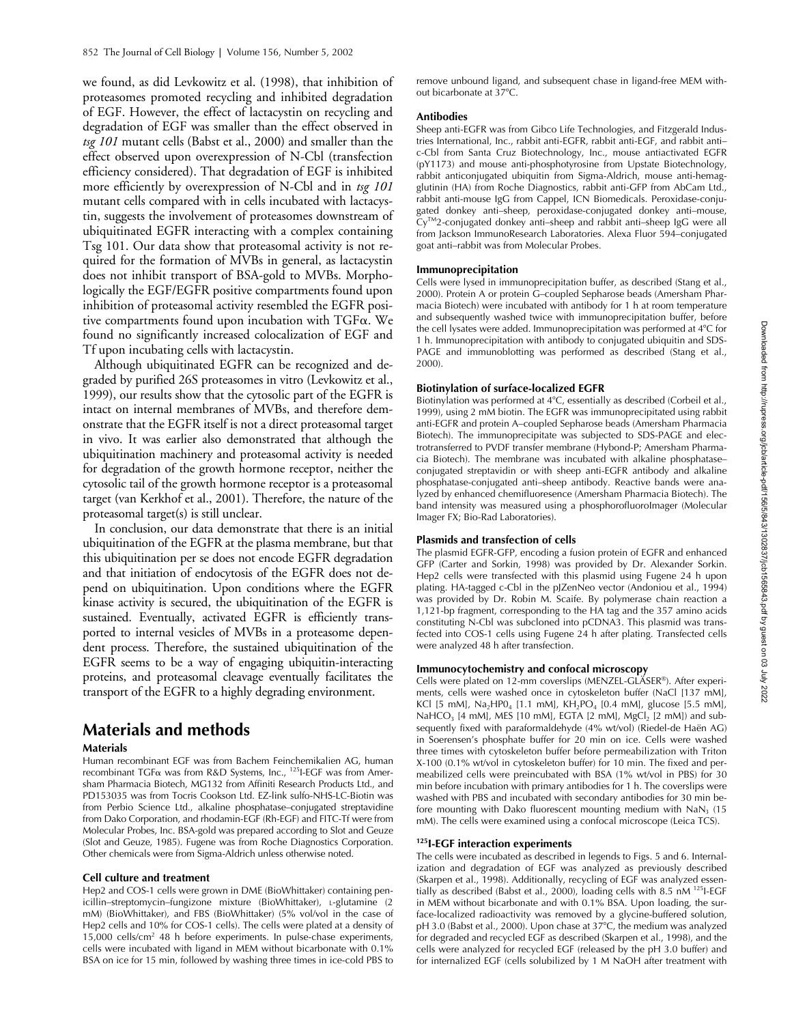we found, as did Levkowitz et al. (1998), that inhibition of proteasomes promoted recycling and inhibited degradation of EGF. However, the effect of lactacystin on recycling and degradation of EGF was smaller than the effect observed in *tsg 101* mutant cells (Babst et al., 2000) and smaller than the effect observed upon overexpression of N-Cbl (transfection efficiency considered). That degradation of EGF is inhibited more efficiently by overexpression of N-Cbl and in *tsg 101* mutant cells compared with in cells incubated with lactacystin, suggests the involvement of proteasomes downstream of ubiquitinated EGFR interacting with a complex containing Tsg 101. Our data show that proteasomal activity is not required for the formation of MVBs in general, as lactacystin does not inhibit transport of BSA-gold to MVBs. Morphologically the EGF/EGFR positive compartments found upon inhibition of proteasomal activity resembled the EGFR positive compartments found upon incubation with TGFa. We found no significantly increased colocalization of EGF and Tf upon incubating cells with lactacystin.

Although ubiquitinated EGFR can be recognized and degraded by purified 26S proteasomes in vitro (Levkowitz et al., 1999), our results show that the cytosolic part of the EGFR is intact on internal membranes of MVBs, and therefore demonstrate that the EGFR itself is not a direct proteasomal target in vivo. It was earlier also demonstrated that although the ubiquitination machinery and proteasomal activity is needed for degradation of the growth hormone receptor, neither the cytosolic tail of the growth hormone receptor is a proteasomal target (van Kerkhof et al., 2001). Therefore, the nature of the proteasomal target(s) is still unclear.

In conclusion, our data demonstrate that there is an initial ubiquitination of the EGFR at the plasma membrane, but that this ubiquitination per se does not encode EGFR degradation and that initiation of endocytosis of the EGFR does not depend on ubiquitination. Upon conditions where the EGFR kinase activity is secured, the ubiquitination of the EGFR is sustained. Eventually, activated EGFR is efficiently transported to internal vesicles of MVBs in a proteasome dependent process. Therefore, the sustained ubiquitination of the EGFR seems to be a way of engaging ubiquitin-interacting proteins, and proteasomal cleavage eventually facilitates the transport of the EGFR to a highly degrading environment.

# **Materials and methods**

## **Materials**

Human recombinant EGF was from Bachem Feinchemikalien AG, human recombinant TGFα was from R&D Systems, Inc., <sup>125</sup>I-EGF was from Amersham Pharmacia Biotech, MG132 from Affiniti Research Products Ltd., and PD153035 was from Tocris Cookson Ltd. EZ-link sulfo-NHS-LC-Biotin was from Perbio Science Ltd., alkaline phosphatase–conjugated streptavidine from Dako Corporation, and rhodamin-EGF (Rh-EGF) and FITC-Tf were from Molecular Probes, Inc. BSA-gold was prepared according to Slot and Geuze (Slot and Geuze, 1985). Fugene was from Roche Diagnostics Corporation. Other chemicals were from Sigma-Aldrich unless otherwise noted.

#### **Cell culture and treatment**

Hep2 and COS-1 cells were grown in DME (BioWhittaker) containing penicillin–streptomycin–fungizone mixture (BioWhittaker), L-glutamine (2 mM) (BioWhittaker), and FBS (BioWhittaker) (5% vol/vol in the case of Hep2 cells and 10% for COS-1 cells). The cells were plated at a density of 15,000 cells/cm<sup>2</sup> 48 h before experiments. In pulse-chase experiments, cells were incubated with ligand in MEM without bicarbonate with 0.1% BSA on ice for 15 min, followed by washing three times in ice-cold PBS to

remove unbound ligand, and subsequent chase in ligand-free MEM without bicarbonate at 37°C.

#### **Antibodies**

Sheep anti-EGFR was from Gibco Life Technologies, and Fitzgerald Industries International, Inc., rabbit anti-EGFR, rabbit anti-EGF, and rabbit anti– c-Cbl from Santa Cruz Biotechnology, Inc., mouse antiactivated EGFR (pY1173) and mouse anti-phosphotyrosine from Upstate Biotechnology, rabbit anticonjugated ubiquitin from Sigma-Aldrich, mouse anti-hemagglutinin (HA) from Roche Diagnostics, rabbit anti-GFP from AbCam Ltd., rabbit anti-mouse IgG from Cappel, ICN Biomedicals. Peroxidase-conjugated donkey anti–sheep, peroxidase-conjugated donkey anti–mouse, Cy<sup>™</sup>2-conjugated donkey anti–sheep and rabbit anti–sheep IgG were all from Jackson ImmunoResearch Laboratories. Alexa Fluor 594–conjugated goat anti–rabbit was from Molecular Probes.

#### **Immunoprecipitation**

Cells were lysed in immunoprecipitation buffer, as described (Stang et al., 2000). Protein A or protein G–coupled Sepharose beads (Amersham Pharmacia Biotech) were incubated with antibody for 1 h at room temperature and subsequently washed twice with immunoprecipitation buffer, before the cell lysates were added. Immunoprecipitation was performed at 4C for 1 h. Immunoprecipitation with antibody to conjugated ubiquitin and SDS-PAGE and immunoblotting was performed as described (Stang et al., 2000).

## **Biotinylation of surface-localized EGFR**

Biotinylation was performed at 4°C, essentially as described (Corbeil et al., 1999), using 2 mM biotin. The EGFR was immunoprecipitated using rabbit anti-EGFR and protein A–coupled Sepharose beads (Amersham Pharmacia Biotech). The immunoprecipitate was subjected to SDS-PAGE and electrotransferred to PVDF transfer membrane (Hybond-P; Amersham Pharmacia Biotech). The membrane was incubated with alkaline phosphatase– conjugated streptavidin or with sheep anti-EGFR antibody and alkaline phosphatase-conjugated anti–sheep antibody. Reactive bands were analyzed by enhanced chemifluoresence (Amersham Pharmacia Biotech). The band intensity was measured using a phosphorofluoroImager (Molecular Imager FX; Bio-Rad Laboratories).

## **Plasmids and transfection of cells**

The plasmid EGFR-GFP, encoding a fusion protein of EGFR and enhanced GFP (Carter and Sorkin, 1998) was provided by Dr. Alexander Sorkin. Hep2 cells were transfected with this plasmid using Fugene 24 h upon plating. HA-tagged c-Cbl in the pJZenNeo vector (Andoniou et al., 1994) was provided by Dr. Robin M. Scaife. By polymerase chain reaction a 1,121-bp fragment, corresponding to the HA tag and the 357 amino acids constituting N-Cbl was subcloned into pCDNA3. This plasmid was transfected into COS-1 cells using Fugene 24 h after plating. Transfected cells were analyzed 48 h after transfection.

#### **Immunocytochemistry and confocal microscopy**

Cells were plated on 12-mm coverslips (MENZEL-GLÄSER®). After experiments, cells were washed once in cytoskeleton buffer (NaCl [137 mM], KCl [5 mM], Na<sub>2</sub>HP0<sub>4</sub> [1.1 mM], KH<sub>2</sub>PO<sub>4</sub> [0.4 mM], glucose [5.5 mM], NaHCO<sub>3</sub> [4 mM], MES [10 mM], EGTA [2 mM], MgCl<sub>2</sub> [2 mM]) and subsequently fixed with paraformaldehyde (4% wt/vol) (Riedel-de Haën AG) in Soerensen's phosphate buffer for 20 min on ice. Cells were washed three times with cytoskeleton buffer before permeabilization with Triton X-100 (0.1% wt/vol in cytoskeleton buffer) for 10 min. The fixed and permeabilized cells were preincubated with BSA (1% wt/vol in PBS) for 30 min before incubation with primary antibodies for 1 h. The coverslips were washed with PBS and incubated with secondary antibodies for 30 min before mounting with Dako fluorescent mounting medium with  $N_a$  (15 mM). The cells were examined using a confocal microscope (Leica TCS).

## **125I-EGF interaction experiments**

The cells were incubated as described in legends to Figs. 5 and 6. Internalization and degradation of EGF was analyzed as previously described (Skarpen et al., 1998). Additionally, recycling of EGF was analyzed essentially as described (Babst et al., 2000), loading cells with 8.5 nM 125I-EGF in MEM without bicarbonate and with 0.1% BSA. Upon loading, the surface-localized radioactivity was removed by a glycine-buffered solution, pH 3.0 (Babst et al., 2000). Upon chase at 37°C, the medium was analyzed for degraded and recycled EGF as described (Skarpen et al., 1998), and the cells were analyzed for recycled EGF (released by the pH 3.0 buffer) and for internalized EGF (cells solubilized by 1 M NaOH after treatment with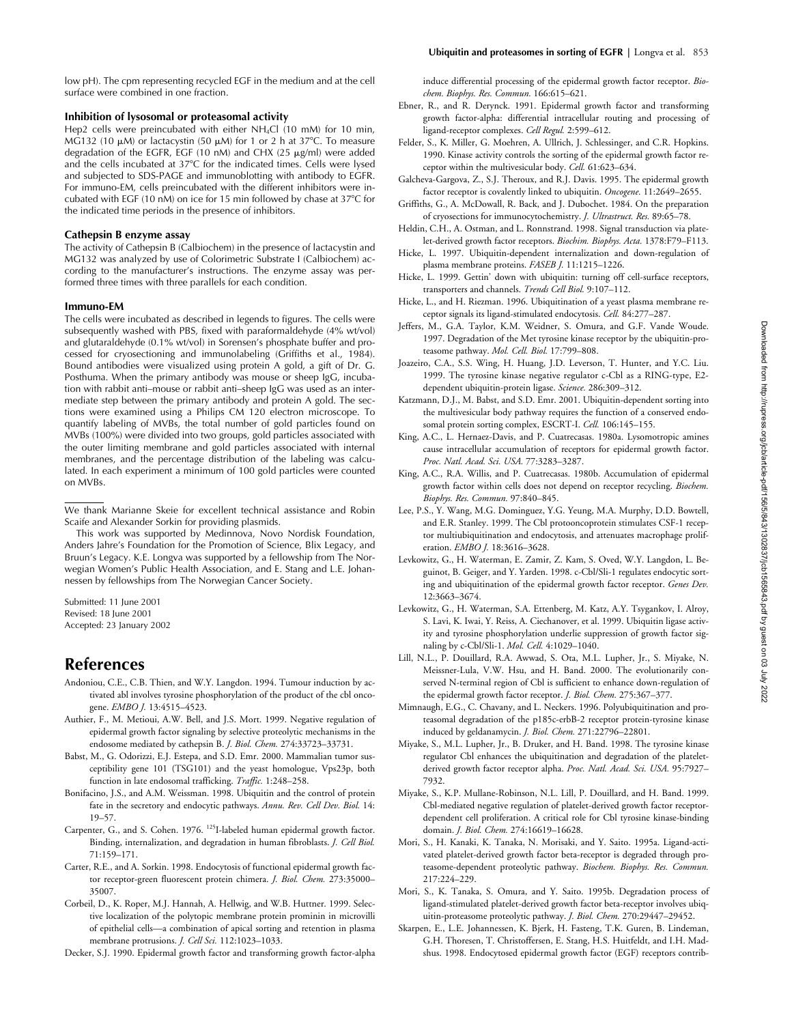low pH). The cpm representing recycled EGF in the medium and at the cell surface were combined in one fraction.

#### **Inhibition of lysosomal or proteasomal activity**

Hep2 cells were preincubated with either NH<sub>4</sub>Cl (10 mM) for 10 min, MG132 (10  $\mu$ M) or lactacystin (50  $\mu$ M) for 1 or 2 h at 37°C. To measure degradation of the EGFR, EGF (10 nM) and CHX (25  $\mu$ g/ml) were added and the cells incubated at 37°C for the indicated times. Cells were lysed and subjected to SDS-PAGE and immunoblotting with antibody to EGFR. For immuno-EM, cells preincubated with the different inhibitors were incubated with EGF (10 nM) on ice for 15 min followed by chase at 37°C for the indicated time periods in the presence of inhibitors.

## **Cathepsin B enzyme assay**

The activity of Cathepsin B (Calbiochem) in the presence of lactacystin and MG132 was analyzed by use of Colorimetric Substrate I (Calbiochem) according to the manufacturer's instructions. The enzyme assay was performed three times with three parallels for each condition.

#### **Immuno-EM**

The cells were incubated as described in legends to figures. The cells were subsequently washed with PBS, fixed with paraformaldehyde (4% wt/vol) and glutaraldehyde (0.1% wt/vol) in Sorensen's phosphate buffer and processed for cryosectioning and immunolabeling (Griffiths et al., 1984). Bound antibodies were visualized using protein A gold, a gift of Dr. G. Posthuma. When the primary antibody was mouse or sheep IgG, incubation with rabbit anti–mouse or rabbit anti–sheep IgG was used as an intermediate step between the primary antibody and protein A gold. The sections were examined using a Philips CM 120 electron microscope. To quantify labeling of MVBs, the total number of gold particles found on MVBs (100%) were divided into two groups, gold particles associated with the outer limiting membrane and gold particles associated with internal membranes, and the percentage distribution of the labeling was calculated. In each experiment a minimum of 100 gold particles were counted on MVBs.

We thank Marianne Skeie for excellent technical assistance and Robin Scaife and Alexander Sorkin for providing plasmids.

This work was supported by Medinnova, Novo Nordisk Foundation, Anders Jahre's Foundation for the Promotion of Science, Blix Legacy, and Bruun's Legacy. K.E. Longva was supported by a fellowship from The Norwegian Women's Public Health Association, and E. Stang and L.E. Johannessen by fellowships from The Norwegian Cancer Society.

Submitted: 11 June 2001 Revised: 18 June 2001 Accepted: 23 January 2002

# **References**

- Andoniou, C.E., C.B. Thien, and W.Y. Langdon. 1994. Tumour induction by activated abl involves tyrosine phosphorylation of the product of the cbl oncogene. *EMBO J.* 13:4515–4523.
- Authier, F., M. Metioui, A.W. Bell, and J.S. Mort. 1999. Negative regulation of epidermal growth factor signaling by selective proteolytic mechanisms in the endosome mediated by cathepsin B. *J. Biol. Chem.* 274:33723–33731.
- Babst, M., G. Odorizzi, E.J. Estepa, and S.D. Emr. 2000. Mammalian tumor susceptibility gene 101 (TSG101) and the yeast homologue, Vps23p, both function in late endosomal trafficking. *Traffic.* 1:248–258.
- Bonifacino, J.S., and A.M. Weissman. 1998. Ubiquitin and the control of protein fate in the secretory and endocytic pathways. *Annu. Rev. Cell Dev. Biol.* 14: 19–57.
- Carpenter, G., and S. Cohen. 1976. 125I-labeled human epidermal growth factor. Binding, internalization, and degradation in human fibroblasts. *J. Cell Biol.* 71:159–171.
- Carter, R.E., and A. Sorkin. 1998. Endocytosis of functional epidermal growth factor receptor-green fluorescent protein chimera. *J. Biol. Chem.* 273:35000– 35007.
- Corbeil, D., K. Roper, M.J. Hannah, A. Hellwig, and W.B. Huttner. 1999. Selective localization of the polytopic membrane protein prominin in microvilli of epithelial cells—a combination of apical sorting and retention in plasma membrane protrusions. *J. Cell Sci.* 112:1023–1033.

Decker, S.J. 1990. Epidermal growth factor and transforming growth factor-alpha

induce differential processing of the epidermal growth factor receptor. *Biochem. Biophys. Res. Commun.* 166:615–621.

- Ebner, R., and R. Derynck. 1991. Epidermal growth factor and transforming growth factor-alpha: differential intracellular routing and processing of ligand-receptor complexes. *Cell Regul.* 2:599–612.
- Felder, S., K. Miller, G. Moehren, A. Ullrich, J. Schlessinger, and C.R. Hopkins. 1990. Kinase activity controls the sorting of the epidermal growth factor receptor within the multivesicular body. *Cell.* 61:623–634.
- Galcheva-Gargova, Z., S.J. Theroux, and R.J. Davis. 1995. The epidermal growth factor receptor is covalently linked to ubiquitin. *Oncogene.* 11:2649–2655.
- Griffiths, G., A. McDowall, R. Back, and J. Dubochet. 1984. On the preparation of cryosections for immunocytochemistry. *J. Ultrastruct. Res.* 89:65–78.
- Heldin, C.H., A. Ostman, and L. Ronnstrand. 1998. Signal transduction via platelet-derived growth factor receptors. *Biochim. Biophys. Acta.* 1378:F79–F113.
- Hicke, L. 1997. Ubiquitin-dependent internalization and down-regulation of plasma membrane proteins. *FASEB J.* 11:1215–1226.
- Hicke, L. 1999. Gettin' down with ubiquitin: turning off cell-surface receptors, transporters and channels. *Trends Cell Biol.* 9:107–112.
- Hicke, L., and H. Riezman. 1996. Ubiquitination of a yeast plasma membrane receptor signals its ligand-stimulated endocytosis. *Cell.* 84:277–287.
- Jeffers, M., G.A. Taylor, K.M. Weidner, S. Omura, and G.F. Vande Woude. 1997. Degradation of the Met tyrosine kinase receptor by the ubiquitin-proteasome pathway. *Mol. Cell. Biol.* 17:799–808.
- Joazeiro, C.A., S.S. Wing, H. Huang, J.D. Leverson, T. Hunter, and Y.C. Liu. 1999. The tyrosine kinase negative regulator c-Cbl as a RING-type, E2 dependent ubiquitin-protein ligase. *Science.* 286:309–312.
- Katzmann, D.J., M. Babst, and S.D. Emr. 2001. Ubiquitin-dependent sorting into the multivesicular body pathway requires the function of a conserved endosomal protein sorting complex, ESCRT-I. *Cell.* 106:145–155.
- King, A.C., L. Hernaez-Davis, and P. Cuatrecasas. 1980a. Lysomotropic amines cause intracellular accumulation of receptors for epidermal growth factor. *Proc. Natl. Acad. Sci. USA.* 77:3283–3287.
- King, A.C., R.A. Willis, and P. Cuatrecasas. 1980b. Accumulation of epidermal growth factor within cells does not depend on receptor recycling. *Biochem. Biophys. Res. Commun.* 97:840–845.
- Lee, P.S., Y. Wang, M.G. Dominguez, Y.G. Yeung, M.A. Murphy, D.D. Bowtell, and E.R. Stanley. 1999. The Cbl protooncoprotein stimulates CSF-1 receptor multiubiquitination and endocytosis, and attenuates macrophage proliferation. *EMBO J.* 18:3616–3628.
- Levkowitz, G., H. Waterman, E. Zamir, Z. Kam, S. Oved, W.Y. Langdon, L. Beguinot, B. Geiger, and Y. Yarden. 1998. c-Cbl/Sli-1 regulates endocytic sorting and ubiquitination of the epidermal growth factor receptor. *Genes Dev.* 12:3663–3674.
- Levkowitz, G., H. Waterman, S.A. Ettenberg, M. Katz, A.Y. Tsygankov, I. Alroy, S. Lavi, K. Iwai, Y. Reiss, A. Ciechanover, et al. 1999. Ubiquitin ligase activity and tyrosine phosphorylation underlie suppression of growth factor signaling by c-Cbl/Sli-1. *Mol. Cell.* 4:1029–1040.
- Lill, N.L., P. Douillard, R.A. Awwad, S. Ota, M.L. Lupher, Jr., S. Miyake, N. Meissner-Lula, V.W. Hsu, and H. Band. 2000. The evolutionarily conserved N-terminal region of Cbl is sufficient to enhance down-regulation of the epidermal growth factor receptor. *J. Biol. Chem.* 275:367–377.
- Mimnaugh, E.G., C. Chavany, and L. Neckers. 1996. Polyubiquitination and proteasomal degradation of the p185c-erbB-2 receptor protein-tyrosine kinase induced by geldanamycin. *J. Biol. Chem.* 271:22796–22801.
- Miyake, S., M.L. Lupher, Jr., B. Druker, and H. Band. 1998. The tyrosine kinase regulator Cbl enhances the ubiquitination and degradation of the plateletderived growth factor receptor alpha. *Proc. Natl. Acad. Sci. USA.* 95:7927– 7932.
- Miyake, S., K.P. Mullane-Robinson, N.L. Lill, P. Douillard, and H. Band. 1999. Cbl-mediated negative regulation of platelet-derived growth factor receptordependent cell proliferation. A critical role for Cbl tyrosine kinase-binding domain. *J. Biol. Chem.* 274:16619–16628.
- Mori, S., H. Kanaki, K. Tanaka, N. Morisaki, and Y. Saito. 1995a. Ligand-activated platelet-derived growth factor beta-receptor is degraded through proteasome-dependent proteolytic pathway. *Biochem. Biophys. Res. Commun.* 217:224–229.
- Mori, S., K. Tanaka, S. Omura, and Y. Saito. 1995b. Degradation process of ligand-stimulated platelet-derived growth factor beta-receptor involves ubiquitin-proteasome proteolytic pathway. *J. Biol. Chem.* 270:29447–29452.
- Skarpen, E., L.E. Johannessen, K. Bjerk, H. Fasteng, T.K. Guren, B. Lindeman, G.H. Thoresen, T. Christoffersen, E. Stang, H.S. Huitfeldt, and I.H. Madshus. 1998. Endocytosed epidermal growth factor (EGF) receptors contrib-